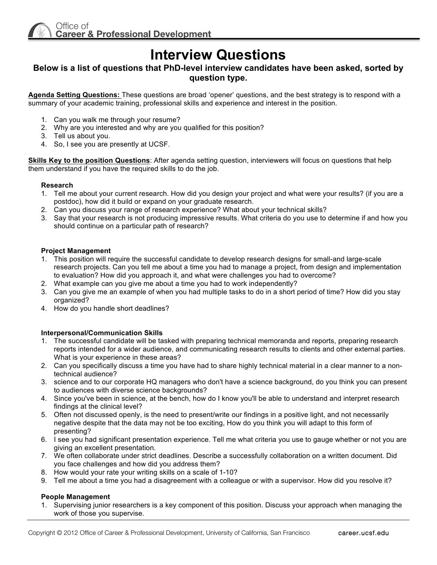# **Interview Questions**

# **Below is a list of questions that PhD-level interview candidates have been asked, sorted by question type.**

**Agenda Setting Questions:** These questions are broad 'opener' questions, and the best strategy is to respond with a summary of your academic training, professional skills and experience and interest in the position.

- 1. Can you walk me through your resume?
- 2. Why are you interested and why are you qualified for this position?
- 3. Tell us about you.
- 4. So, I see you are presently at UCSF.

**Skills Key to the position Questions**: After agenda setting question, interviewers will focus on questions that help them understand if you have the required skills to do the job.

## **Research**

- 1. Tell me about your current research. How did you design your project and what were your results? (if you are a postdoc), how did it build or expand on your graduate research.
- 2. Can you discuss your range of research experience? What about your technical skills?
- 3. Say that your research is not producing impressive results. What criteria do you use to determine if and how you should continue on a particular path of research?

#### **Project Management**

- 1. This position will require the successful candidate to develop research designs for small-and large-scale research projects. Can you tell me about a time you had to manage a project, from design and implementation to evaluation? How did you approach it, and what were challenges you had to overcome?
- 2. What example can you give me about a time you had to work independently?
- 3. Can you give me an example of when you had multiple tasks to do in a short period of time? How did you stay organized?
- 4. How do you handle short deadlines?

# **Interpersonal/Communication Skills**

- 1. The successful candidate will be tasked with preparing technical memoranda and reports, preparing research reports intended for a wider audience, and communicating research results to clients and other external parties. What is your experience in these areas?
- 2. Can you specifically discuss a time you have had to share highly technical material in a clear manner to a nontechnical audience?
- 3. science and to our corporate HQ managers who don't have a science background, do you think you can present to audiences with diverse science backgrounds?
- 4. Since you've been in science, at the bench, how do I know you'll be able to understand and interpret research findings at the clinical level?
- 5. Often not discussed openly, is the need to present/write our findings in a positive light, and not necessarily negative despite that the data may not be too exciting, How do you think you will adapt to this form of presenting?
- 6. I see you had significant presentation experience. Tell me what criteria you use to gauge whether or not you are giving an excellent presentation.
- 7. We often collaborate under strict deadlines. Describe a successfully collaboration on a written document. Did you face challenges and how did you address them?
- 8. How would your rate your writing skills on a scale of 1-10?
- 9. Tell me about a time you had a disagreement with a colleague or with a supervisor. How did you resolve it?

#### **People Management**

1. Supervising junior researchers is a key component of this position. Discuss your approach when managing the work of those you supervise.